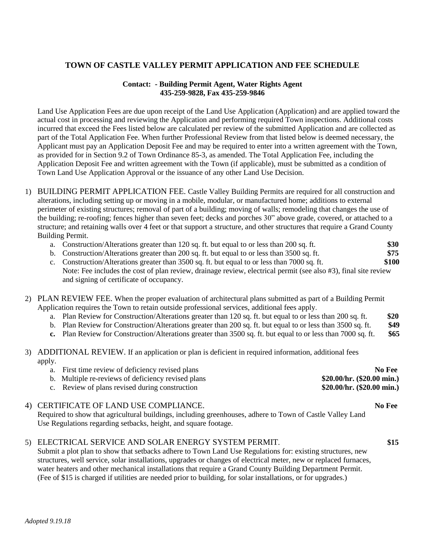## **TOWN OF CASTLE VALLEY PERMIT APPLICATION AND FEE SCHEDULE**

## **Contact: - Building Permit Agent, Water Rights Agent 435-259-9828, Fax 435-259-9846**

Land Use Application Fees are due upon receipt of the Land Use Application (Application) and are applied toward the actual cost in processing and reviewing the Application and performing required Town inspections. Additional costs incurred that exceed the Fees listed below are calculated per review of the submitted Application and are collected as part of the Total Application Fee. When further Professional Review from that listed below is deemed necessary, the Applicant must pay an Application Deposit Fee and may be required to enter into a written agreement with the Town, as provided for in Section 9.2 of Town Ordinance 85-3, as amended. The Total Application Fee, including the Application Deposit Fee and written agreement with the Town (if applicable), must be submitted as a condition of Town Land Use Application Approval or the issuance of any other Land Use Decision.

- 1) BUILDING PERMIT APPLICATION FEE. Castle Valley Building Permits are required for all construction and alterations, including setting up or moving in a mobile, modular, or manufactured home; additions to external perimeter of existing structures; removal of part of a building; moving of walls; remodeling that changes the use of the building; re-roofing; fences higher than seven feet; decks and porches 30" above grade, covered, or attached to a structure; and retaining walls over 4 feet or that support a structure, and other structures that require a Grand County Building Permit.
	- a. Construction/Alterations greater than 120 sq. ft. but equal to or less than 200 sq. ft. **\$30**
	- b. Construction/Alterations greater than 200 sq. ft. but equal to or less than 3500 sq. ft. **\$75**
	- c. Construction/Alterations greater than 3500 sq. ft. but equal to or less than 7000 sq. ft. **\$100** Note: Fee includes the cost of plan review, drainage review, electrical permit (see also #3), final site review and signing of certificate of occupancy.
- 2) PLAN REVIEW FEE. When the proper evaluation of architectural plans submitted as part of a Building Permit Application requires the Town to retain outside professional services, additional fees apply.
	- a. Plan Review for Construction/Alterations greater than 120 sq. ft. but equal to or less than 200 sq. ft. **\$20**
	- b. Plan Review for Construction/Alterations greater than 200 sq. ft. but equal to or less than 3500 sq. ft. **\$49**
	- **c.** Plan Review for Construction/Alterations greater than 3500 sq. ft. but equal to or less than 7000 sq. ft. **\$65**
- 3) ADDITIONAL REVIEW. If an application or plan is deficient in required information, additional fees apply.
	- a. First time review of deficiency revised plans **No Fee** b. Multiple re-reviews of deficiency revised plans **\$20.00/hr. (\$20.00 min.)** c. Review of plans revised during construction **\$20.00/hr. (\$20.00 min.)**
- 4) CERTIFICATE OF LAND USE COMPLIANCE. **No Fee**

Required to show that agricultural buildings, including greenhouses, adhere to Town of Castle Valley Land Use Regulations regarding setbacks, height, and square footage.

## 5) ELECTRICAL SERVICE AND SOLAR ENERGY SYSTEM PERMIT. **\$15**

Submit a plot plan to show that setbacks adhere to Town Land Use Regulations for: existing structures, new structures, well service, solar installations, upgrades or changes of electrical meter, new or replaced furnaces, water heaters and other mechanical installations that require a Grand County Building Department Permit. (Fee of \$15 is charged if utilities are needed prior to building, for solar installations, or for upgrades.)